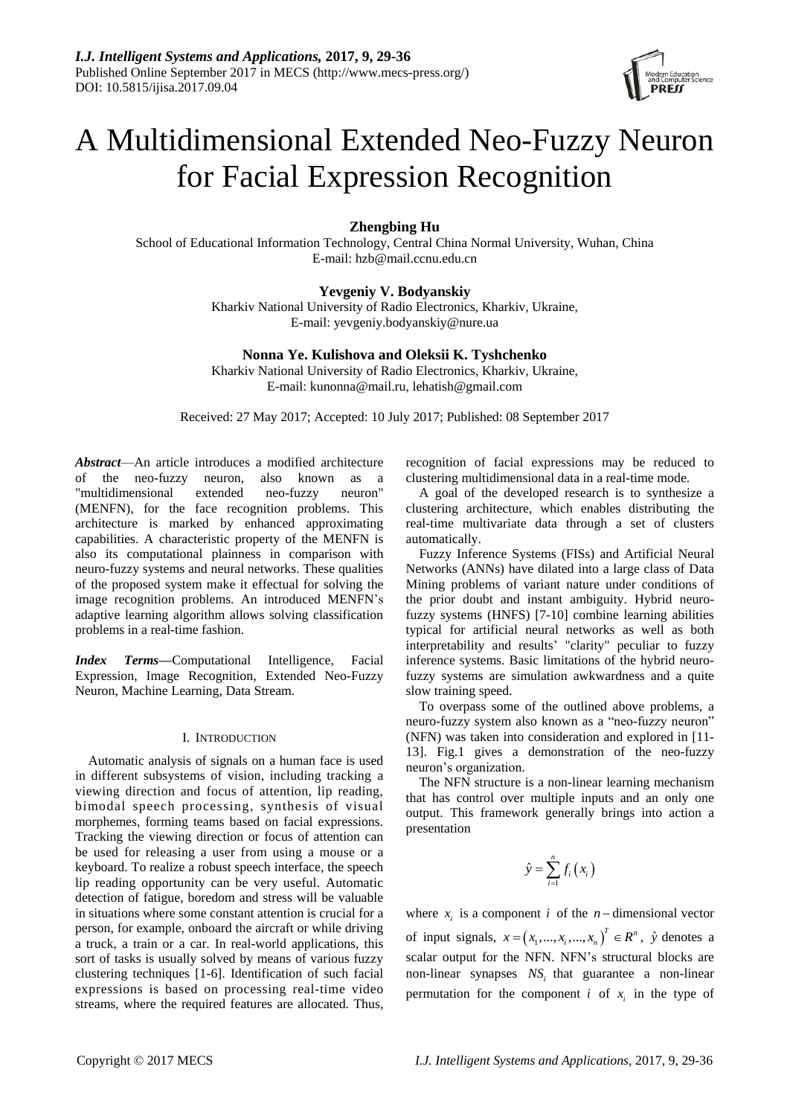

# A Multidimensional Extended Neo-Fuzzy Neuron for Facial Expression Recognition

**Zhengbing Hu**

School of Educational Information Technology, Central China Normal University, Wuhan, China E-mail: [hzb@mail.ccnu.edu.cn](mailto:hzb@mail.ccnu.edu.cn)

# **Yevgeniy V. Bodyanskiy**

Kharkiv National University of Radio Electronics, Kharkiv, Ukraine, E-mail: yevgeniy[.bodyanskiy@nure.ua](mailto:bodyanskiy@nure.ua)

# **Nonna Ye. Kulishova and Oleksii K. Tyshchenko**

Kharkiv National University of Radio Electronics, Kharkiv, Ukraine, E-mail: [kunonna@mail.ru,](mailto:kunonna@mail.ru) lehatish@gmail.com

Received: 27 May 2017; Accepted: 10 July 2017; Published: 08 September 2017

*Abstract*—An article introduces a modified architecture of the neo-fuzzy neuron, also known as a "multidimensional extended neo-fuzzy neuron" (MENFN), for the face recognition problems. This architecture is marked by enhanced approximating capabilities. A characteristic property of the MENFN is also its computational plainness in comparison with neuro-fuzzy systems and neural networks. These qualities of the proposed system make it effectual for solving the image recognition problems. An introduced MENFN's adaptive learning algorithm allows solving classification problems in a real-time fashion.

*Index Terms***—**Computational Intelligence, Facial Expression, Image Recognition, Extended Neo-Fuzzy Neuron, Machine Learning, Data Stream.

## I. INTRODUCTION

Automatic analysis of signals on a human face is used in different subsystems of vision, including tracking a viewing direction and focus of attention, lip reading, bimodal speech processing, synthesis of visual morphemes, forming teams based on facial expressions. Tracking the viewing direction or focus of attention can be used for releasing a user from using a mouse or a keyboard. To realize a robust speech interface, the speech lip reading opportunity can be very useful. Automatic detection of fatigue, boredom and stress will be valuable in situations where some constant attention is crucial for a person, for example, onboard the aircraft or while driving a truck, a train or a car. In real-world applications, this sort of tasks is usually solved by means of various fuzzy clustering techniques [1-6]. Identification of such facial expressions is based on processing real-time video streams, where the required features are allocated. Thus,

recognition of facial expressions may be reduced to clustering multidimensional data in a real-time mode.

A goal of the developed research is to synthesize a clustering architecture, which enables distributing the real-time multivariate data through a set of clusters automatically.

Fuzzy Inference Systems (FISs) and Artificial Neural Networks (ANNs) have dilated into a large class of Data Mining problems of variant nature under conditions of the prior doubt and instant ambiguity. Hybrid neurofuzzy systems (HNFS) [7-10] combine learning abilities typical for artificial neural networks as well as both interpretability and results' "clarity" peculiar to fuzzy inference systems. Basic limitations of the hybrid neurofuzzy systems are simulation awkwardness and a quite slow training speed.

To overpass some of the outlined above problems, a neuro-fuzzy system also known as a "neo-fuzzy neuron" (NFN) was taken into consideration and explored in [11- 13]. Fig.1 gives a demonstration of the neo-fuzzy neuron's organization.

The NFN structure is a non-linear learning mechanism that has control over multiple inputs and an only one output. This framework generally brings into action a presentation

$$
\hat{y} = \sum_{i=1}^{n} f_i(x_i)
$$

where  $x_i$  is a component *i* of the *n*-dimensional vector of input signals,  $x = (x_1, ..., x_i, ..., x_n)^T \in \mathbb{R}^n$ ,  $\hat{y}$  denotes a scalar output for the NFN. NFN's structural blocks are non-linear synapses *NS<sup>i</sup>* that guarantee a non-linear permutation for the component *i* of  $x_i$  in the type of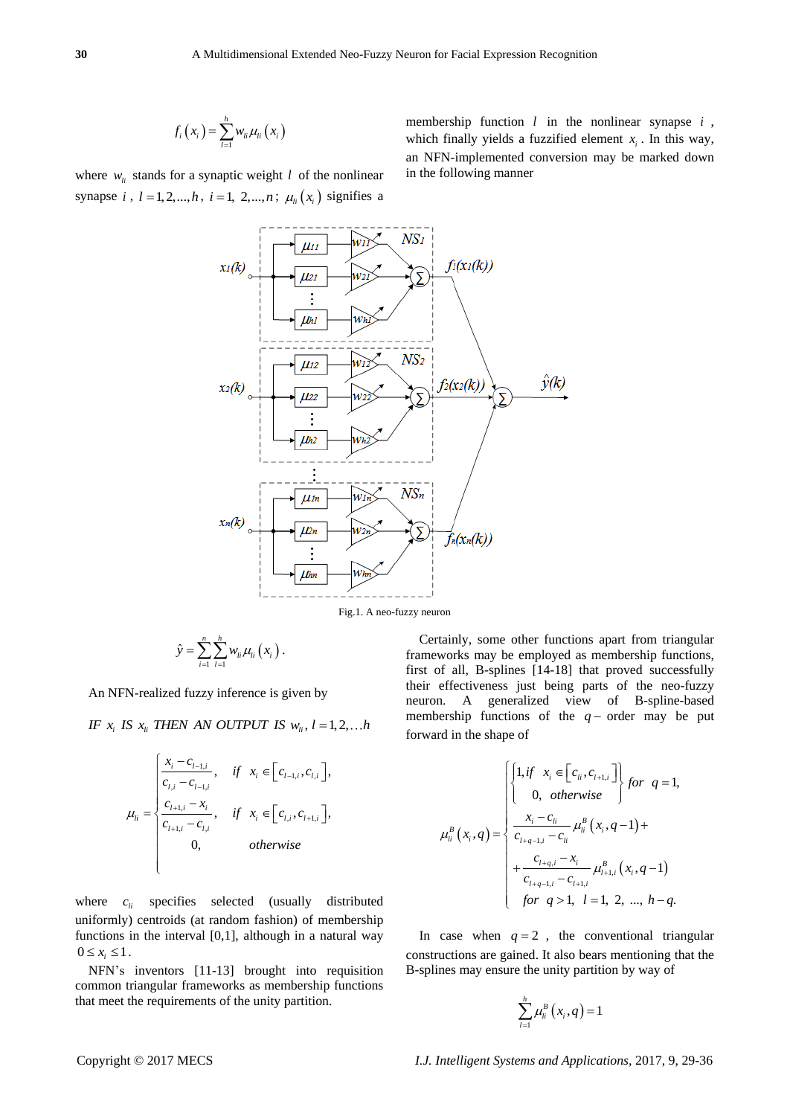$$
f_i(x_i) = \sum_{l=1}^h w_{li} \mu_{li}(x_i)
$$

where  $w_{li}$  stands for a synaptic weight  $l$  of the nonlinear synapse *i*,  $l = 1, 2, ..., h$ ,  $i = 1, 2, ..., n$ ;  $\mu_{li}(x_i)$  signifies a

membership function *l* in the nonlinear synapse *i* , which finally yields a fuzzified element  $x_i$ . In this way, an NFN-implemented conversion may be marked down in the following manner

 $NS<sub>I</sub>$  $f_i(x_i(k))$  $x_1(k)$  $\mu_{21}$ **Lih1**  $NS<sub>2</sub>$  $\mu_{12}$  $\hat{y}(k)$  $f_2(x_2(k))$  $x_2(k)$  $II22$  $\vdots$  $\mu$ <sub>2</sub>  $NS<sub>n</sub>$  $\mu$ <sub>In</sub>  $x_n(k)$  $\mu$ <sub>2n</sub>  $f_n(x_n(k))$ Llhn

Fig.1. A neo-fuzzy neuron

$$
\hat{y} = \sum_{i=1}^n \sum_{l=1}^h w_{li} \mu_{li} (x_i).
$$

An NFN-realized fuzzy inference is given by

IF  $x_i$  IS  $x_i$  THEN AN OUTPUT IS  $w_i$ ,  $l = 1,2,...h$ 

$$
\mu_{li} = \begin{cases}\n\frac{x_i - c_{l-1,i}}{c_{l,i} - c_{l-1,i}}, & if \ x_i \in [c_{l-1,i}, c_{l,i}], \\
\frac{c_{l+1,i} - x_i}{c_{l+1,i} - c_{l,i}}, & if \ x_i \in [c_{l,i}, c_{l+1,i}], \\
0, & otherwise\n\end{cases}
$$

where  $c_{li}$  specifies selected (usually distributed uniformly) centroids (at random fashion) of membership functions in the interval [0,1], although in a natural way  $0 \leq x_i \leq 1$ .

NFN's inventors [11-13] brought into requisition common triangular frameworks as membership functions that meet the requirements of the unity partition.

Certainly, some other functions apart from triangular frameworks may be employed as membership functions, first of all, B-splines [14-18] that proved successfully their effectiveness just being parts of the neo-fuzzy neuron. A generalized view of B-spline-based membership functions of the  $q$ - order may be put forward in the shape of

$$
\mu_{li}^{B}(x_{i},q) = \begin{cases}\n\begin{cases}\n1, & \text{if } x_{i} \in \left[c_{li}, c_{l+1,i}\right] \\
0, & \text{otherwise}\n\end{cases} \quad \text{for } q = 1, \\
\frac{x_{i} - c_{li}}{c_{l+q-1,i} - c_{li}} \mu_{li}^{B}(x_{i},q-1) + \frac{c_{l+q,i} - x_{i}}{c_{l+q-1,i} - c_{l+1,i}} \mu_{l+1,i}^{B}(x_{i},q-1) \\
\quad \text{for } q > 1, l = 1, 2, ..., h-q.\n\end{cases}
$$

In case when  $q = 2$ , the conventional triangular constructions are gained. It also bears mentioning that the B-splines may ensure the unity partition by way of

$$
\sum_{l=1}^h \mu_l^B\left(x_i, q\right) = 1
$$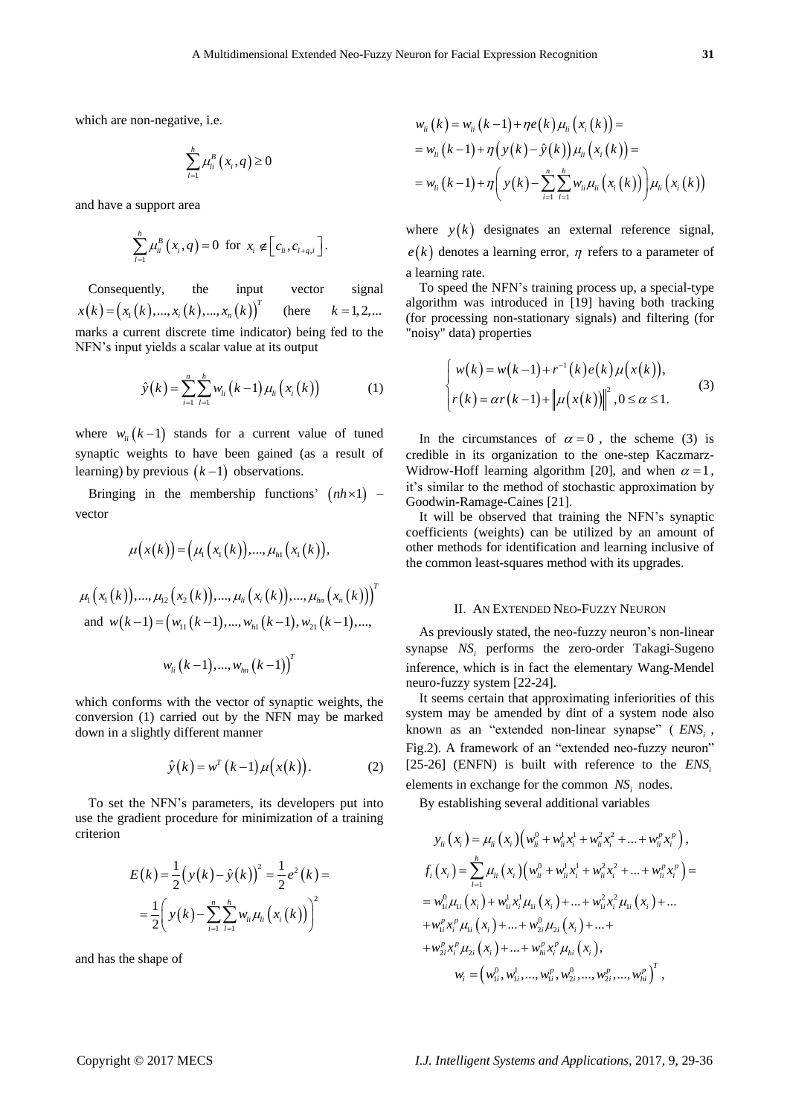which are non-negative, i.e.

$$
\sum_{l=1}^h \mu_{li}^B(x_i, q) \ge 0
$$

and have a support area

$$
\sum_{l=1}^h \mu_{li}^B(x_i,q) = 0 \ \ \text{for} \ \ x_i \notin \Big[c_{li},c_{l+q,i}\Big].
$$

Consequently, the input vector signal  $x(k) = (x_1(k),...,x_i(k),...,x_n(k))^T$ (here  $k = 1, 2, ...$ marks a current discrete time indicator) being fed to the NFN's input yields a scalar value at its output

$$
\hat{y}(k) = \sum_{i=1}^{n} \sum_{l=1}^{h} w_{li}(k-1) \mu_{li}(x_{i}(k))
$$
 (1)

where  $w_{li} (k-1)$  stands for a current value of tuned synaptic weights to have been gained (as a result of learning) by previous  $(k-1)$  observations.

Bringing in the membership functions'  $(nh \times 1)$  – vector

$$
\mu(x(k)) = (\mu_1(x_1(k)), ..., \mu_{h1}(x_1(k)),
$$
  
\n
$$
\mu_1(x_1(k)), ..., \mu_{12}(x_2(k)), ..., \mu_{h1}(x_i(k)), ..., \mu_{hn}(x_n(k)))^T
$$
  
\nand 
$$
w(k-1) = (w_{11}(k-1), ..., w_{h1}(k-1), w_{21}(k-1), ...,
$$

$$
w_{li}\left(k-1\right),...,w_{ln}\left(k-1\right)\big)^{T}
$$

which conforms with the vector of synaptic weights, the conversion (1) carried out by the NFN may be marked down in a slightly different manner

$$
\hat{y}(k) = w^T (k-1) \mu(x(k)). \tag{2}
$$

To set the NFN's parameters, its developers put into use the gradient procedure for minimization of a training criterion

$$
E(k) = \frac{1}{2} (y(k) - \hat{y}(k))^{2} = \frac{1}{2} e^{2} (k) =
$$
  
= 
$$
\frac{1}{2} \left( y(k) - \sum_{i=1}^{n} \sum_{j=1}^{h} w_{ii} \mu_{ii} (x_{i} (k)) \right)^{2}
$$

and has the shape of

$$
w_{li}(k) = w_{li}(k-1) + \eta e(k) \mu_{li}(x_i(k)) =
$$
  
=  $w_{li}(k-1) + \eta (y(k) - \hat{y}(k)) \mu_{li}(x_i(k)) =$   
=  $w_{li}(k-1) + \eta \left( y(k) - \sum_{i=1}^{n} \sum_{l=1}^{h} w_{li} \mu_{li}(x_i(k)) \right) \mu_{li}(x_i(k))$ 

where  $y(k)$  designates an external reference signal,  $e(k)$  denotes a learning error,  $\eta$  refers to a parameter of a learning rate.

To speed the NFN's training process up, a special-type algorithm was introduced in [19] having both tracking (for processing non-stationary signals) and filtering (for "noisy" data) properties

$$
\begin{cases} w(k) = w(k-1) + r^{-1}(k)e(k)\mu(x(k)), \\ r(k) = \alpha r(k-1) + ||\mu(x(k))||^2, 0 \le \alpha \le 1. \end{cases}
$$
 (3)

In the circumstances of  $\alpha = 0$ , the scheme (3) is credible in its organization to the one-step Kaczmarz-Widrow-Hoff learning algorithm [20], and when  $\alpha = 1$ , it's similar to the method of stochastic approximation by Goodwin-Ramage-Caines [21].

It will be observed that training the NFN's synaptic coefficients (weights) can be utilized by an amount of other methods for identification and learning inclusive of the common least-squares method with its upgrades.

### II. AN EXTENDED NEO-FUZZY NEURON

As previously stated, the neo-fuzzy neuron's non-linear synapse *NS<sup>i</sup>* performs the zero-order Takagi-Sugeno inference, which is in fact the elementary Wang-Mendel neuro-fuzzy system [22-24].

It seems certain that approximating inferiorities of this system may be amended by dint of a system node also known as an "extended non-linear synapse" ( $ENS_i$ , Fig.2). A framework of an "extended neo-fuzzy neuron" [25-26] (ENFN) is built with reference to the *ENS<sup>i</sup>* elements in exchange for the common *NS<sup>i</sup>* nodes.

By establishing several additional variables

$$
y_{li}(x_i) = \mu_{li}(x_i) (w_{li}^0 + w_{li}^1 x_i^1 + w_{li}^2 x_i^2 + ... + w_{li}^p x_i^p),
$$
  
\n
$$
f_i(x_i) = \sum_{l=1}^h \mu_{li}(x_i) (w_{li}^0 + w_{li}^1 x_i^1 + w_{li}^2 x_i^2 + ... + w_{li}^p x_i^p) =
$$
  
\n
$$
= w_{li}^0 \mu_{li}(x_i) + w_{li}^1 x_i^1 \mu_{li}(x_i) + ... + w_{li}^2 x_i^2 \mu_{li}(x_i) + ...
$$
  
\n
$$
+ w_{li}^p x_i^p \mu_{li}(x_i) + ... + w_{2i}^0 \mu_{2i}(x_i) + ... +
$$
  
\n
$$
+ w_{2i}^p x_i^p \mu_{2i}(x_i) + ... + w_{hi}^p x_i^p \mu_{hi}(x_i),
$$
  
\n
$$
w_i = (w_{li}^0, w_{li}^1, ..., w_{li}^p, w_{2i}^0, ..., w_{2i}^p, ..., w_{hi}^p)^T,
$$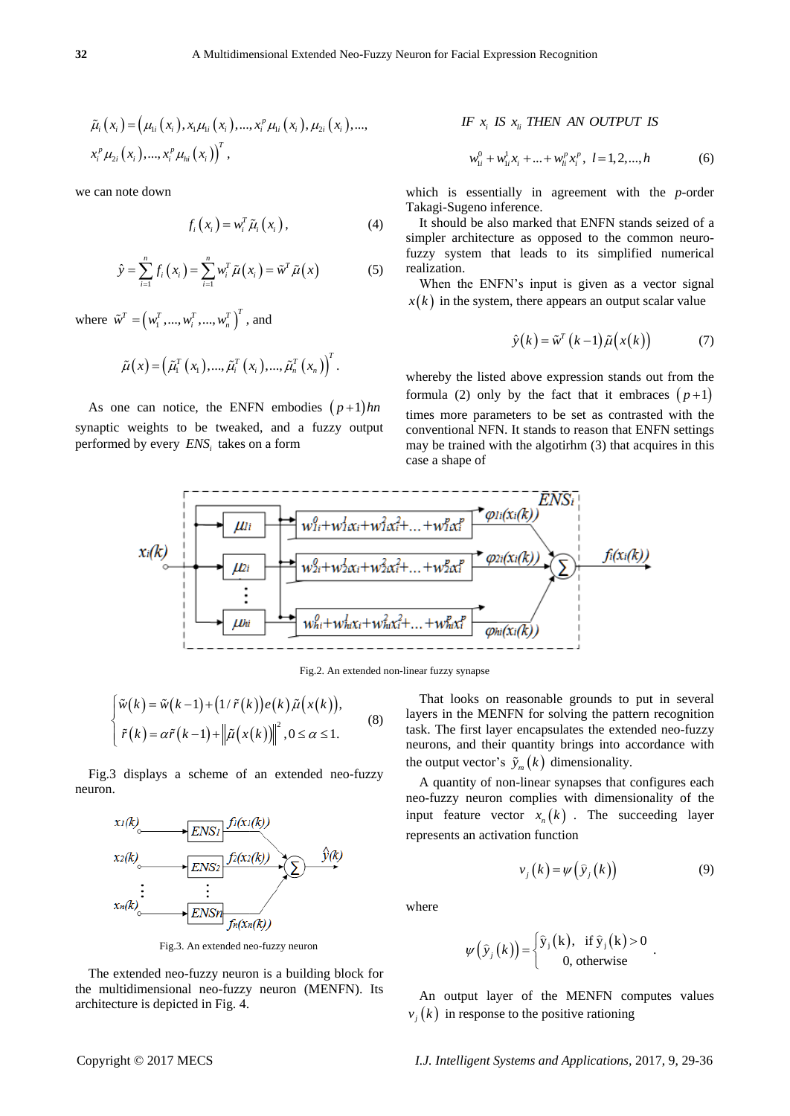$$
\tilde{\mu}_{i}\left(x_{i}\right) = \left(\mu_{1i}\left(x_{i}\right), x_{1}\mu_{1i}\left(x_{i}\right), ..., x_{i}^{p}\mu_{1i}\left(x_{i}\right), \mu_{2i}\left(x_{i}\right), ..., \right) x_{i}^{p}\mu_{2i}\left(x_{i}\right), ..., x_{i}^{p}\mu_{hi}\left(x_{i}\right)\right)^{T},
$$

we can note down

$$
f_i(x_i) = w_i^T \tilde{\mu}_i(x_i), \qquad (4)
$$

$$
\hat{y} = \sum_{i=1}^{n} f_i(x_i) = \sum_{i=1}^{n} w_i^T \tilde{\mu}(x_i) = \tilde{w}^T \tilde{\mu}(x)
$$
\n(5)

where  $\tilde{w}^T = (w_1^T, ..., w_i^T, ..., w_n^T)^T$ , and

$$
\tilde{\mu}(x) = (\tilde{\mu}_1^T(x_1), ..., \tilde{\mu}_i^T(x_i), ..., \tilde{\mu}_n^T(x_n))^{T}.
$$

As one can notice, the ENFN embodies  $(p+1)$ *hn* synaptic weights to be tweaked, and a fuzzy output performed by every *ENS<sup>i</sup>* takes on a form

## *IF*  $x_i$  *IS*  $x_i$  *THEN AN OUTPUT IS*

$$
w_{1i}^0 + w_{1i}^1 x_i + \dots + w_{li}^p x_i^p, \ l = 1, 2, \dots, h
$$
 (6)

which is essentially in agreement with the *p*-order Takagi-Sugeno inference.

It should be also marked that ENFN stands seized of a simpler architecture as opposed to the common neurofuzzy system that leads to its simplified numerical realization.

When the ENFN's input is given as a vector signal  $x(k)$  in the system, there appears an output scalar value

$$
\hat{y}(k) = \tilde{w}^T(k-1)\tilde{\mu}(x(k))
$$
 (7)

whereby the listed above expression stands out from the formula (2) only by the fact that it embraces  $(p+1)$ times more parameters to be set as contrasted with the conventional NFN. It stands to reason that ENFN settings may be trained with the algotirhm (3) that acquires in this case a shape of



Fig.2. An extended non-linear fuzzy synapse

$$
\begin{cases} \tilde{w}(k) = \tilde{w}(k-1) + (1/\tilde{r}(k))e(k)\tilde{\mu}(x(k)), \\ \tilde{r}(k) = \alpha \tilde{r}(k-1) + ||\tilde{\mu}(x(k))||^2, 0 \le \alpha \le 1. \end{cases}
$$
 (8)

Fig.3 displays a scheme of an extended neo-fuzzy neuron.



Fig.3. An extended neo-fuzzy neuron

The extended neo-fuzzy neuron is a building block for the multidimensional neo-fuzzy neuron (MENFN). Its architecture is depicted in Fig. 4.

That looks on reasonable grounds to put in several layers in the MENFN for solving the pattern recognition task. The first layer encapsulates the extended neo-fuzzy neurons, and their quantity brings into accordance with the output vector's  $\tilde{y}_m(k)$  dimensionality.

A quantity of non-linear synapses that configures each neo-fuzzy neuron complies with dimensionality of the input feature vector  $x_n(k)$ . The succeeding layer represents an activation function

$$
v_j(k) = \psi(\hat{y}_j(k))
$$
 (9)

.

where

$$
\psi(\hat{y}_j(k)) = \begin{cases} \hat{y}_j(k), & \text{if } \hat{y}_j(k) > 0\\ 0, & \text{otherwise} \end{cases}
$$

An output layer of the MENFN computes values  $v_j(k)$  in response to the positive rationing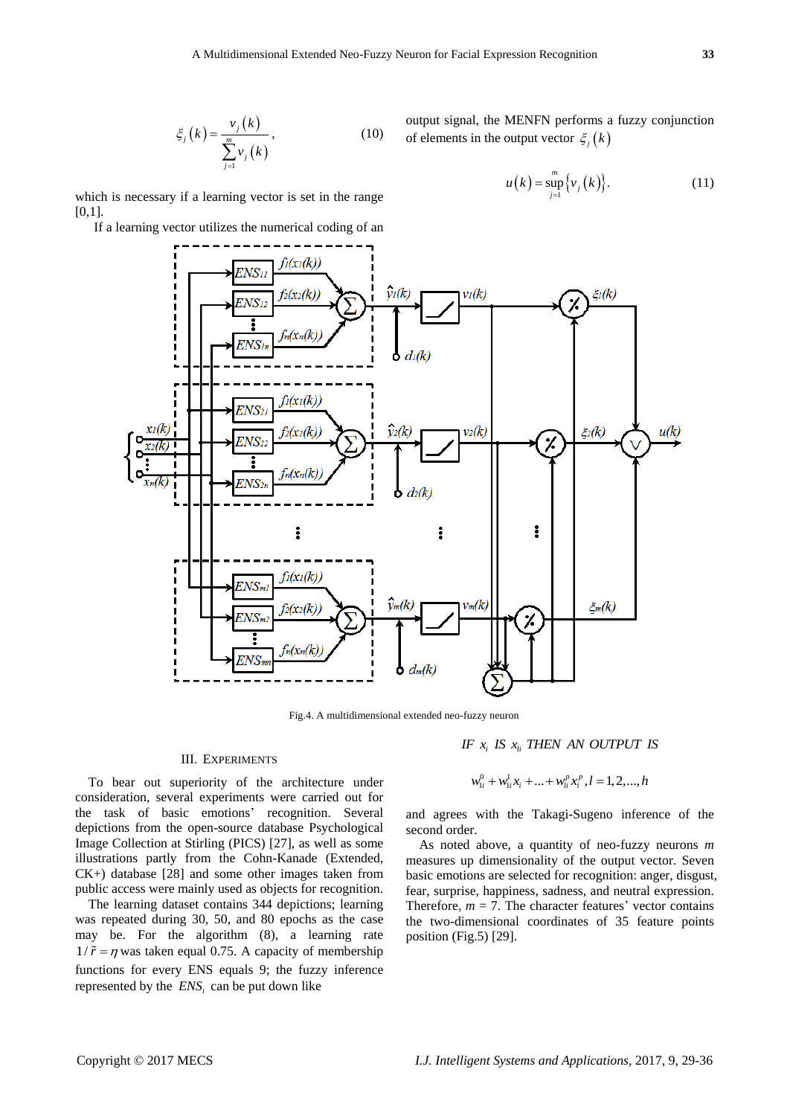$$
\xi_j(k) = \frac{\nu_j(k)}{\sum_{j=1}^m \nu_j(k)},\tag{10}
$$

output signal, the MENFN performs a fuzzy conjunction of elements in the output vector  $\zeta_i(k)$ 

$$
u(k) = \sup_{j=1}^{m} \{v_j(k)\}.
$$
 (11)

which is necessary if a learning vector is set in the range [0,1].

If a learning vector utilizes the numerical coding of an



Fig.4. A multidimensional extended neo-fuzzy neuron

#### III. EXPERIMENTS

To bear out superiority of the architecture under consideration, several experiments were carried out for the task of basic emotions' recognition. Several depictions from the open-source database Psychological Image Collection at Stirling (PICS) [27], as well as some illustrations partly from the Cohn-Kanade (Extended, CK+) database [28] and some other images taken from public access were mainly used as objects for recognition.

The learning dataset contains 344 depictions; learning was repeated during 30, 50, and 80 epochs as the case may be. For the algorithm (8), a learning rate  $1/\tilde{r} = \eta$  was taken equal 0.75. A capacity of membership functions for every ENS equals 9; the fuzzy inference represented by the *ENS<sup>i</sup>* can be put down like

$$
IF \ x_i \ IS \ x_{li} \ THEN \ AN \ OUTPUT \ IS
$$

$$
w_{1i}^0 + w_{1i}^1 x_i + \dots + w_{li}^p x_i^p, l = 1, 2, \dots, h
$$

and agrees with the Takagi-Sugeno inference of the second order.

As noted above, a quantity of neo-fuzzy neurons *m* measures up dimensionality of the output vector. Seven basic emotions are selected for recognition: anger, disgust, fear, surprise, happiness, sadness, and neutral expression. Therefore,  $m = 7$ . The character features' vector contains the two-dimensional coordinates of 35 feature points position (Fig.5) [29].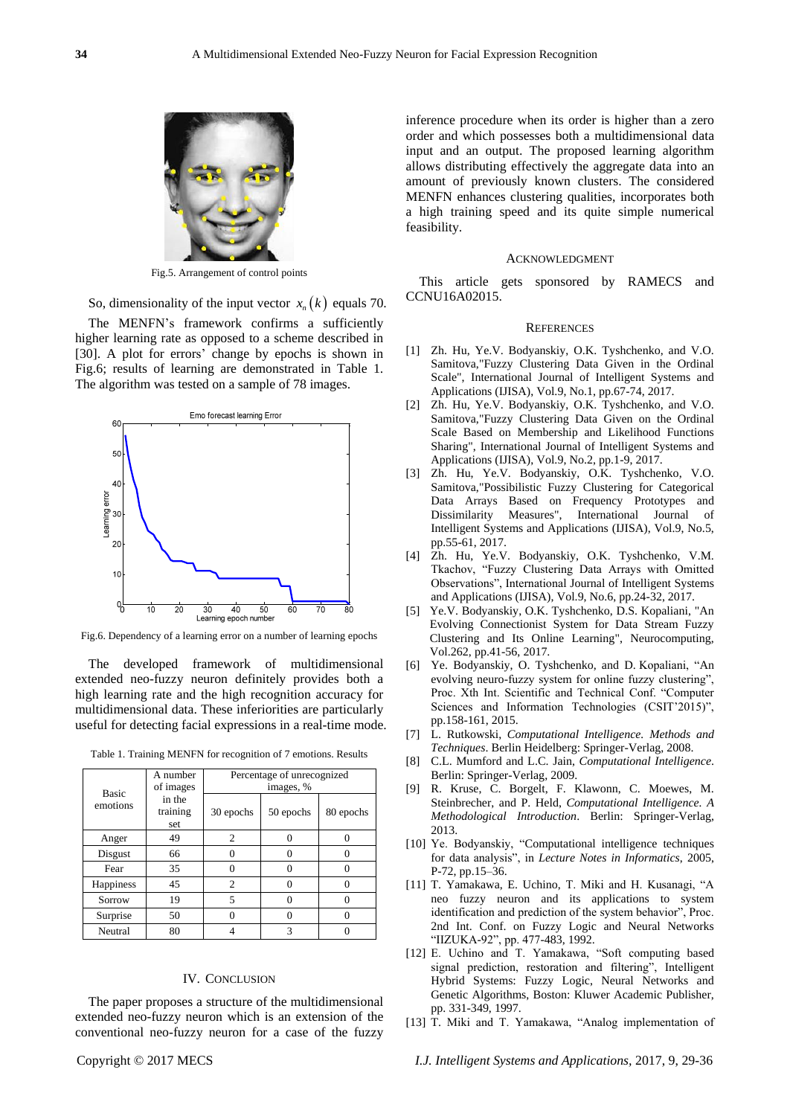

Fig.5. Arrangement of control points

So, dimensionality of the input vector  $x_n(k)$  equals 70.

The MENFN's framework confirms a sufficiently higher learning rate as opposed to a scheme described in [30]. A plot for errors' change by epochs is shown in Fig.6; results of learning are demonstrated in Table 1. The algorithm was tested on a sample of 78 images.



Fig.6. Dependency of a learning error on a number of learning epochs

The developed framework of multidimensional extended neo-fuzzy neuron definitely provides both a high learning rate and the high recognition accuracy for multidimensional data. These inferiorities are particularly useful for detecting facial expressions in a real-time mode.

|  |  |  |  |  |  | Table 1. Training MENFN for recognition of 7 emotions. Results |  |
|--|--|--|--|--|--|----------------------------------------------------------------|--|
|--|--|--|--|--|--|----------------------------------------------------------------|--|

| <b>Basic</b> | A number<br>of images     | Percentage of unrecognized<br>images, % |           |           |  |  |
|--------------|---------------------------|-----------------------------------------|-----------|-----------|--|--|
| emotions     | in the<br>training<br>set | 30 epochs                               | 50 epochs | 80 epochs |  |  |
| Anger        | 49                        | $\overline{c}$                          |           |           |  |  |
| Disgust      | 66                        | 0                                       |           |           |  |  |
| Fear         | 35                        |                                         |           |           |  |  |
| Happiness    | 45                        | $\overline{c}$                          |           |           |  |  |
| Sorrow       | 19                        | 5                                       |           |           |  |  |
| Surprise     | 50                        | 0                                       |           |           |  |  |
| Neutral      | 80                        |                                         | 3         |           |  |  |

#### IV. CONCLUSION

The paper proposes a structure of the multidimensional extended neo-fuzzy neuron which is an extension of the conventional neo-fuzzy neuron for a case of the fuzzy inference procedure when its order is higher than a zero order and which possesses both a multidimensional data input and an output. The proposed learning algorithm allows distributing effectively the aggregate data into an amount of previously known clusters. The considered MENFN enhances clustering qualities, incorporates both a high training speed and its quite simple numerical feasibility.

#### ACKNOWLEDGMENT

This article gets sponsored by RAMECS and CCNU16A02015.

#### **REFERENCES**

- [1] Zh. Hu, Ye.V. Bodyanskiy, O.K. Tyshchenko, and V.O. Samitova,"Fuzzy Clustering Data Given in the Ordinal Scale", International Journal of Intelligent Systems and Applications (IJISA), Vol.9, No.1, pp.67-74, 2017.
- [2] Zh. Hu, Ye.V. Bodyanskiy, O.K. Tyshchenko, and V.O. Samitova,"Fuzzy Clustering Data Given on the Ordinal Scale Based on Membership and Likelihood Functions Sharing", International Journal of Intelligent Systems and Applications (IJISA), Vol.9, No.2, pp.1-9, 2017.
- [3] Zh. Hu, Ye.V. Bodyanskiy, O.K. Tyshchenko, V.O. Samitova,"Possibilistic Fuzzy Clustering for Categorical Data Arrays Based on Frequency Prototypes and Dissimilarity Measures", International Journal of Intelligent Systems and Applications (IJISA), Vol.9, No.5, pp.55-61, 2017.
- [4] Zh. Hu, Ye.V. Bodyanskiy, O.K. Tyshchenko, V.M. Tkachov, "Fuzzy Clustering Data Arrays with Omitted Observations", International Journal of Intelligent Systems and Applications (IJISA), Vol.9, No.6, pp.24-32, 2017.
- [5] Ye.V. Bodyanskiy, O.K. Tyshchenko, D.S. Kopaliani, "An Evolving Connectionist System for Data Stream Fuzzy Clustering and Its Online Learning", Neurocomputing, Vol.262, pp.41-56, 2017.
- [6] Ye. Bodyanskiy, O. Tyshchenko, and D. Kopaliani, "An evolving neuro-fuzzy system for online fuzzy clustering", Proc. Xth Int. Scientific and Technical Conf. "Computer Sciences and Information Technologies (CSIT'2015)", pp.158-161, 2015.
- [7] L. Rutkowski, *Computational Intelligence. Methods and Techniques*. Berlin Heidelberg: Springer-Verlag, 2008.
- [8] C.L. Mumford and L.C. Jain, *Computational Intelligence*. Berlin: Springer-Verlag, 2009.
- [9] R. Kruse, C. Borgelt, F. Klawonn, C. Moewes, M. Steinbrecher, and P. Held, *Computational Intelligence. A Methodological Introduction*. Berlin: Springer-Verlag, 2013.
- [10] Ye. Bodyanskiy, "Computational intelligence techniques for data analysis‖, in *Lecture Notes in Informatics*, 2005, P-72, pp.15–36.
- [11] T. Yamakawa, E. Uchino, T. Miki and H. Kusanagi, "A neo fuzzy neuron and its applications to system identification and prediction of the system behavior", Proc. 2nd Int. Conf. on Fuzzy Logic and Neural Networks "IIZUKA-92", pp. 477-483, 1992.
- [12] E. Uchino and T. Yamakawa, "Soft computing based signal prediction, restoration and filtering", Intelligent Hybrid Systems: Fuzzy Logic, Neural Networks and Genetic Algorithms, Boston: Kluwer Academic Publisher, pp. 331-349, 1997.
- [13] T. Miki and T. Yamakawa, "Analog implementation of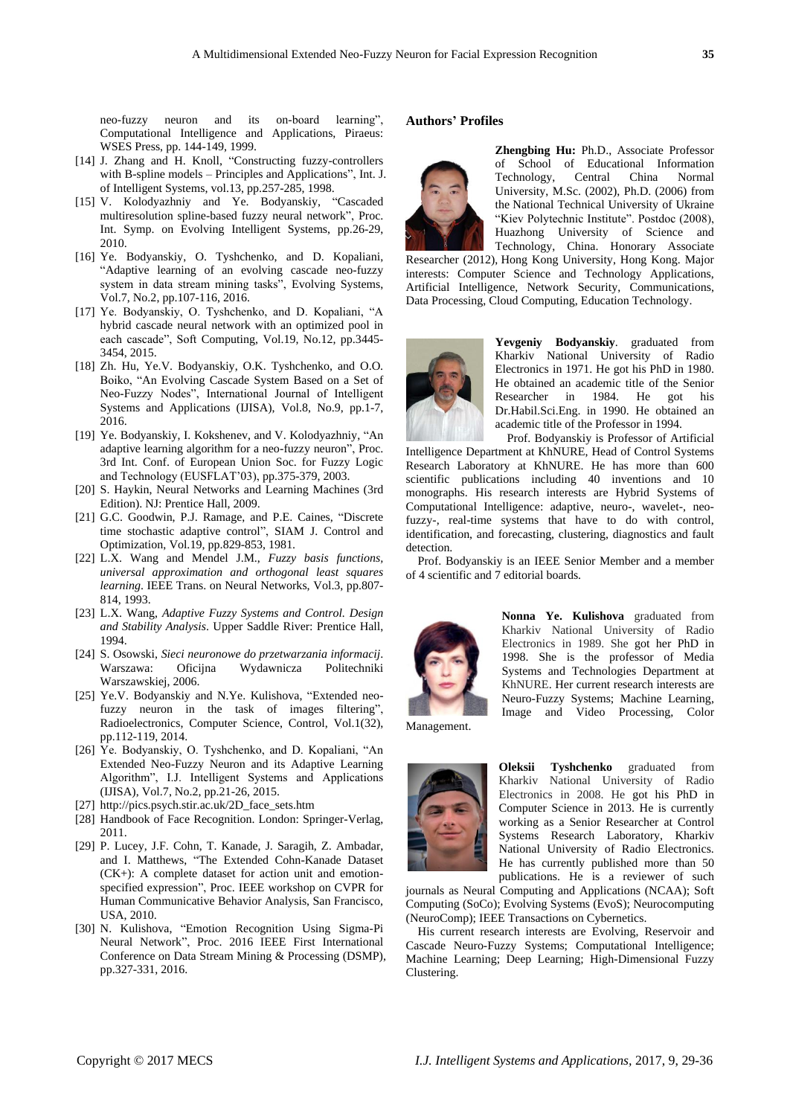neo-fuzzy neuron and its on-board learning". Computational Intelligence and Applications, Piraeus: WSES Press, pp. 144-149, 1999.

- [14] J. Zhang and H. Knoll, "Constructing fuzzy-controllers with B-spline models – Principles and Applications", Int. J. of Intelligent Systems, vol.13, pp.257-285, 1998.
- [15] V. Kolodyazhniy and Ye. Bodyanskiy, "Cascaded multiresolution spline-based fuzzy neural network", Proc. Int. Symp. on Evolving Intelligent Systems, pp.26-29, 2010.
- [16] Ye. Bodyanskiy, O. Tyshchenko, and D. Kopaliani, "Adaptive learning of an evolving cascade neo-fuzzy system in data stream mining tasks", Evolving Systems, Vol.7, No.2, pp.107-116, 2016.
- [17] Ye. Bodyanskiy, O. Tyshchenko, and D. Kopaliani, "A hybrid cascade neural network with an optimized pool in each cascade", Soft Computing, Vol.19, No.12, pp.3445-3454, 2015.
- [18] Zh. Hu, Ye.V. Bodyanskiy, O.K. Tyshchenko, and O.O. Boiko, "An Evolving Cascade System Based on a Set of Neo-Fuzzy Nodes", International Journal of Intelligent Systems and Applications (IJISA), Vol.8, No.9, pp.1-7, 2016.
- [19] Ye. Bodyanskiy, I. Kokshenev, and V. Kolodyazhniy, "An adaptive learning algorithm for a neo-fuzzy neuron", Proc. 3rd Int. Conf. of European Union Soc. for Fuzzy Logic and Technology (EUSFLAT'03), pp.375-379, 2003.
- [20] S. Haykin, Neural Networks and Learning Machines (3rd Edition). NJ: Prentice Hall, 2009.
- [21] G.C. Goodwin, P.J. Ramage, and P.E. Caines, "Discrete time stochastic adaptive control", SIAM J. Control and Optimization, Vol.19, pp.829-853, 1981.
- [22] L.X. Wang and Mendel J.M., *Fuzzy basis functions, universal approximation and orthogonal least squares learning*. IEEE Trans. on Neural Networks, Vol.3, pp.807- 814, 1993.
- [23] L.X. Wang, *Adaptive Fuzzy Systems and Control. Design and Stability Analysis*. Upper Saddle River: Prentice Hall, 1994.
- [24] S. Osowski, *Sieci neuronowe do przetwarzania informacij*. Warszawa: Oficijna Wydawnicza Politechniki Warszawskiej, 2006.
- [25] Ye.V. Bodyanskiy and N.Ye. Kulishova, "Extended neofuzzy neuron in the task of images filtering", Radioelectronics, Computer Science, Control, Vol.1(32), pp.112-119, 2014.
- [26] Ye. Bodyanskiy, O. Tyshchenko, and D. Kopaliani, "An Extended Neo-Fuzzy Neuron and its Adaptive Learning Algorithm", I.J. Intelligent Systems and Applications (IJISA), Vol.7, No.2, pp.21-26, 2015.
- [27] http://pics.psych.stir.ac.uk/2D\_face\_sets.htm
- [28] Handbook of Face Recognition. London: Springer-Verlag, 2011.
- [29] P. Lucey, J.F. Cohn, T. Kanade, J. Saragih, Z. Ambadar, and I. Matthews, "The Extended Cohn-Kanade Dataset (CK+): A complete dataset for action unit and emotionspecified expression", Proc. IEEE workshop on CVPR for Human Communicative Behavior Analysis, San Francisco, USA, 2010.
- [30] N. Kulishova, "Emotion Recognition Using Sigma-Pi Neural Network", Proc. 2016 IEEE First International Conference on Data Stream Mining & Processing (DSMP), pp.327-331, 2016.

## **Authors' Profiles**



**Zhengbing Hu:** Ph.D., Associate Professor of School of Educational Information Technology, Central China Normal University, M.Sc. (2002), Ph.D. (2006) from the National Technical University of Ukraine "Kiev Polytechnic Institute". Postdoc (2008), Huazhong University of Science and Technology, China. Honorary Associate

Researcher (2012), Hong Kong University, Hong Kong. Major interests: Computer Science and Technology Applications, Artificial Intelligence, Network Security, Communications, Data Processing, Cloud Computing, Education Technology.



**Yevgeniy Bodyanskiy**. graduated from Kharkiv National University of Radio Electronics in 1971. He got his PhD in 1980. He obtained an academic title of the Senior Researcher in 1984. He got his Dr.Habil.Sci.Eng. in 1990. He obtained an academic title of the Professor in 1994.

Prof. Bodyanskiy is Professor of Artificial Intelligence Department at KhNURE, Head of Control Systems Research Laboratory at KhNURE. He has more than 600 scientific publications including 40 inventions and 10 monographs. His research interests are Hybrid Systems of Computational Intelligence: adaptive, neuro-, wavelet-, neofuzzy-, real-time systems that have to do with control, identification, and forecasting, clustering, diagnostics and fault detection.

Prof. Bodyanskiy is an IEEE Senior Member and a member of 4 scientific and 7 editorial boards.



**Nonna Ye. Kulishova** graduated from Kharkiv National University of Radio Electronics in 1989. She got her PhD in 1998. She is the professor of Media Systems and Technologies Department at KhNURE. Her current research interests are Neuro-Fuzzy Systems; Machine Learning, Image and Video Processing, Color

Management.



**Oleksii Tyshchenko** graduated from Kharkiv National University of Radio Electronics in 2008. He got his PhD in Computer Science in 2013. He is currently working as a Senior Researcher at Control Systems Research Laboratory, Kharkiv National University of Radio Electronics. He has currently published more than 50 publications. He is a reviewer of such

journals as Neural Computing and Applications (NCAA); Soft Computing (SoCo); Evolving Systems (EvoS); Neurocomputing (NeuroComp); IEEE Transactions on Cybernetics.

His current research interests are Evolving, Reservoir and Cascade Neuro-Fuzzy Systems; Computational Intelligence; Machine Learning; Deep Learning; High-Dimensional Fuzzy Clustering.